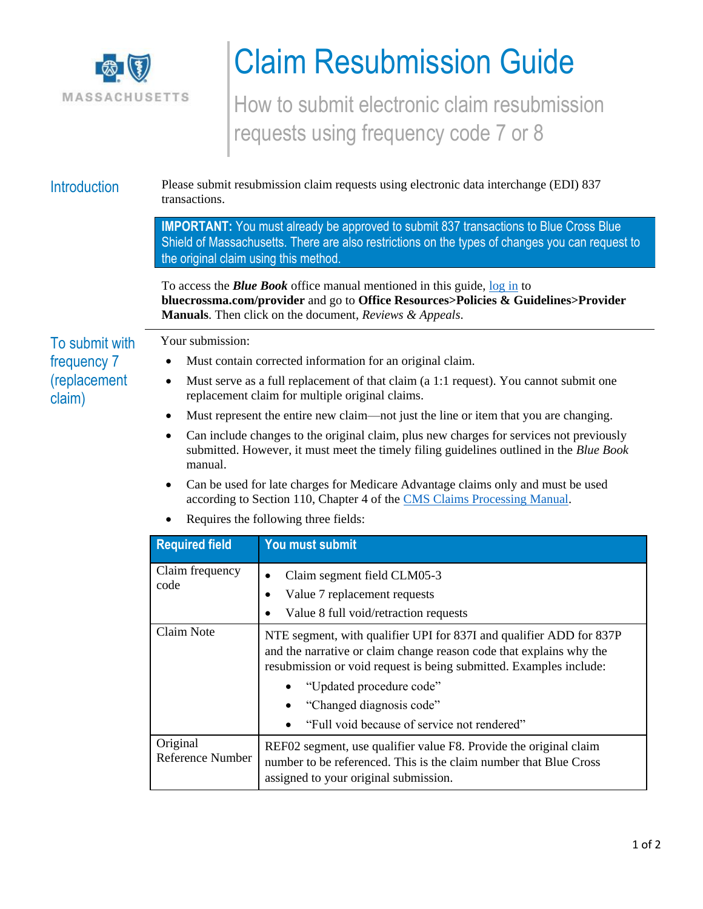

## Claim Resubmission Guide

How to submit electronic claim resubmission requests using frequency code 7 or 8

Introduction Please submit resubmission claim requests using electronic data interchange (EDI) 837 transactions.

> **IMPORTANT:** You must already be approved to submit 837 transactions to Blue Cross Blue Shield of Massachusetts. There are also restrictions on the types of changes you can request to the original claim using this method.

To access the *Blue Book* office manual mentioned in this guide, [log in](http://www.bluecrossma.com/provider) to **bluecrossma.com/provider** and go to **Office Resources>Policies & Guidelines>Provider Manuals**. Then click on the document, *Reviews & Appeals*.

## To submit with frequency 7 (replacement claim)

Your submission:

- Must contain corrected information for an original claim.
- Must serve as a full replacement of that claim (a 1:1 request). You cannot submit one replacement claim for multiple original claims.
- Must represent the entire new claim—not just the line or item that you are changing.
- Can include changes to the original claim, plus new charges for services not previously submitted. However, it must meet the timely filing guidelines outlined in the *Blue Book*  manual.
- Can be used for late charges for Medicare Advantage claims only and must be used according to Section 110, Chapter 4 of the [CMS Claims Processing Manual.](https://www.cms.gov/Regulations-and-Guidance/Guidance/Manuals/Downloads/clm104c04.pdf)
- Requires the following three fields:

| <b>Required field</b>        | You must submit                                                                                                                                                                                                                                                                                                         |
|------------------------------|-------------------------------------------------------------------------------------------------------------------------------------------------------------------------------------------------------------------------------------------------------------------------------------------------------------------------|
| Claim frequency<br>code      | Claim segment field CLM05-3<br>$\bullet$<br>Value 7 replacement requests<br>Value 8 full void/retraction requests                                                                                                                                                                                                       |
| Claim Note                   | NTE segment, with qualifier UPI for 837I and qualifier ADD for 837P<br>and the narrative or claim change reason code that explains why the<br>resubmission or void request is being submitted. Examples include:<br>"Updated procedure code"<br>"Changed diagnosis code"<br>"Full void because of service not rendered" |
| Original<br>Reference Number | REF02 segment, use qualifier value F8. Provide the original claim<br>number to be referenced. This is the claim number that Blue Cross<br>assigned to your original submission.                                                                                                                                         |